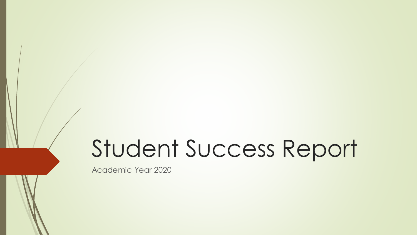# Student Success Report

Academic Year 2020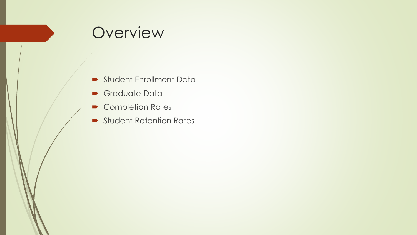# Overview

- **Student Enrollment Data**
- Graduate Data
- Completion Rates
- **Student Retention Rates**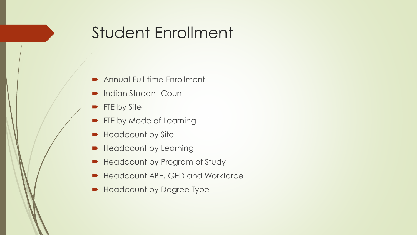# Student Enrollment

- **Annual Full-time Enrollment**
- **Indian Student Count**
- **FTE by Site**
- **FTE by Mode of Learning**
- **Headcount by Site**
- **Headcount by Learning**
- **Headcount by Program of Study**
- **Headcount ABE, GED and Workforce**
- **Headcount by Degree Type**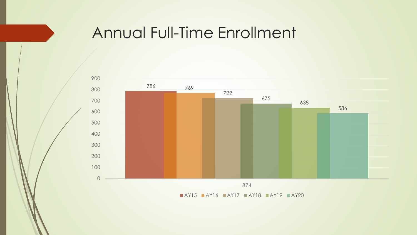# Annual Full-Time Enrollment



 $\blacksquare$ AY15  $\blacksquare$ AY16  $\blacksquare$ AY17  $\blacksquare$ AY18  $\blacksquare$ AY19  $\blacksquare$ AY20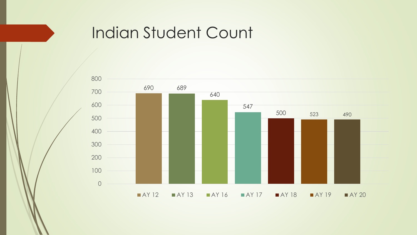# Indian Student Count

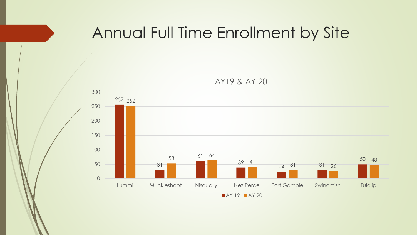# Annual Full Time Enrollment by Site

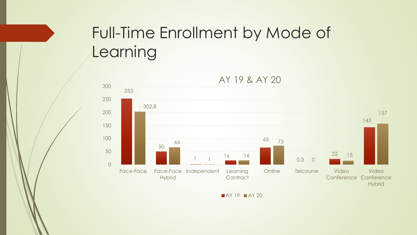# Full-Time Enrollment by Mode of Learning



AY 19 & AY 20

**AY 19 AY 20**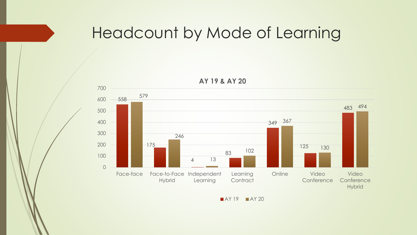# Headcount by Mode of Learning



**AY 19 & AY 20**

 $AY19$   $AY20$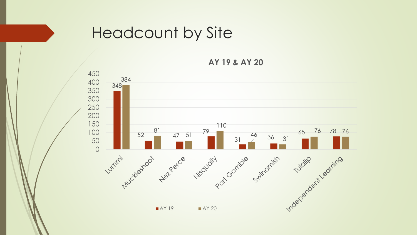

# Headcount by Site

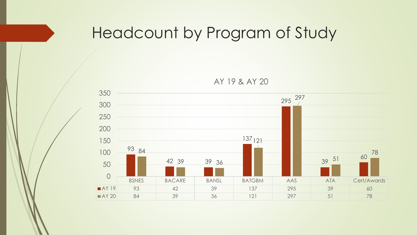# Headcount by Program of Study

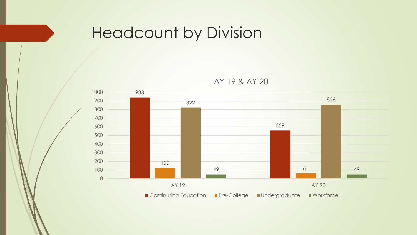# Headcount by Division

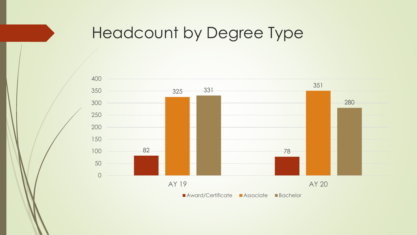# Headcount by Degree Type

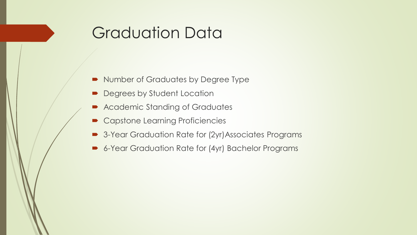# Graduation Data

- Number of Graduates by Degree Type
- **Degrees by Student Location**
- Academic Standing of Graduates
- Capstone Learning Proficiencies
- 3-Year Graduation Rate for (2yr) Associates Programs
- 6-Year Graduation Rate for (4yr) Bachelor Programs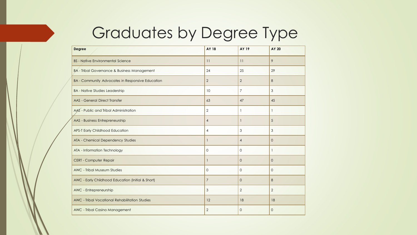# Graduates by Degree Type

| <b>Degree</b>                                           | <b>AY 18</b>   | AY 19          | AY 20          |
|---------------------------------------------------------|----------------|----------------|----------------|
| <b>BS</b> - Native Environmental Science                | 11             | 11             | 9              |
| <b>BA - Tribal Governance &amp; Business Management</b> | 24             | 25             | 29             |
| BA - Community Advocates in Responsive Education        | $\overline{2}$ | 2              | 8              |
| <b>BA - Native Studies Leadership</b>                   | 10             | $\overline{7}$ | 3              |
| <b>AAS - General Direct Transfer</b>                    | 63             | 47             | 45             |
| AAS - Public and Tribal Administration                  | $\overline{2}$ | $\mathbf{1}$   | $\mathbf{1}$   |
| AAS - Business Entrepreneurship                         | $\overline{4}$ | 1              | 5              |
| APS-T Early Childhood Education                         | $\overline{4}$ | 3              | 3              |
| ATA - Chemical Dependency Studies                       | $\mathbf{1}$   | $\overline{4}$ | $\overline{0}$ |
| ATA - Information Technology                            | $\mathbf{0}$   | $\mathbf{O}$   | $\mathbf{1}$   |
| CERT - Computer Repair                                  | $\mathbf{1}$   | $\overline{0}$ | $\overline{0}$ |
| AWC - Tribal Museum Studies                             | $\Omega$       | $\Omega$       | $\Omega$       |
| AWC - Early Childhood Education (Initial & Short)       | $\overline{7}$ | $\mathbf{0}$   | 8              |
| AWC - Entrepreneurship                                  | 3              | 2              | 2              |
| AWC - Tribal Vocational Rehabilitation Studies          | 12             | 18             | 18             |
| AWC - Tribal Casino Management                          | $\overline{2}$ | $\Omega$       | $\Omega$       |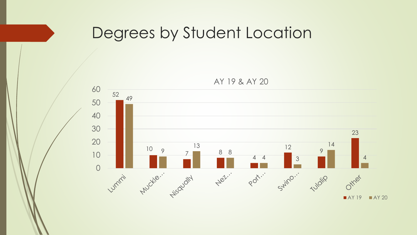# Degrees by Student Location

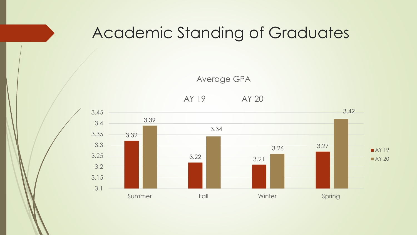# Academic Standing of Graduates

Average GPA

AY 19 AY 20

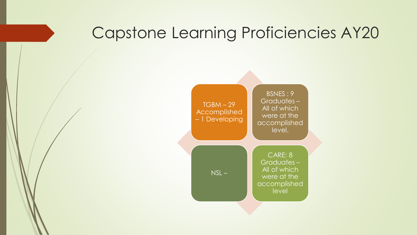# Capstone Learning Proficiencies AY20

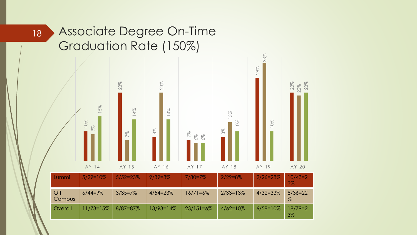#### Associate Degree On-Time Graduation Rate (150%)



18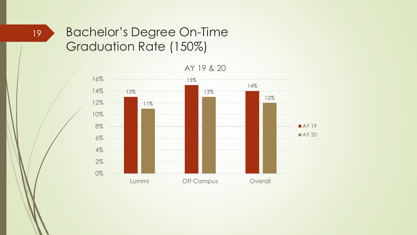#### Bachelor's Degree On-Time Graduation Rate (150%)



19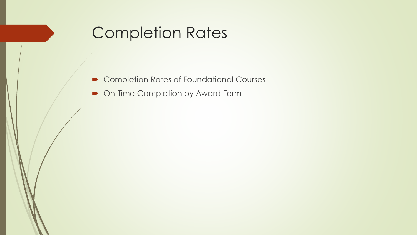# Completion Rates

- Completion Rates of Foundational Courses
- On-Time Completion by Award Term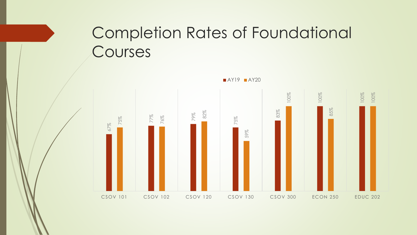# Completion Rates of Foundational **Courses**

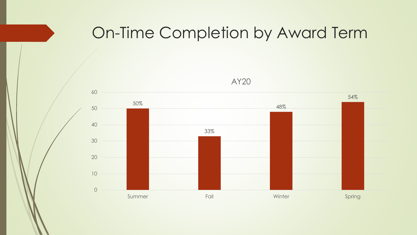# On-Time Completion by Award Term



AY20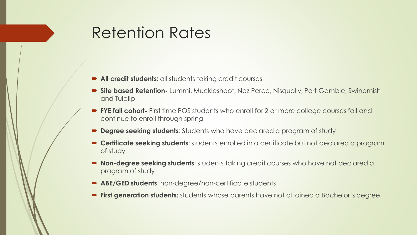# Retention Rates

- **All credit students:** all students taking credit courses
- **Site based Retention-** Lummi, Muckleshoot, Nez Perce, Nisqually, Port Gamble, Swinomish and Tulalip
- **FYE fall cohort-** First time POS students who enroll for 2 or more college courses fall and continue to enroll through spring
- **Degree seeking students**: Students who have declared a program of study
- **Certificate seeking students**: students enrolled in a certificate but not declared a program of study
- **Non-degree seeking students**: students taking credit courses who have not declared a program of study
- **ABE/GED students**: non-degree/non-certificate students
- **First generation students:** students whose parents have not attained a Bachelor's degree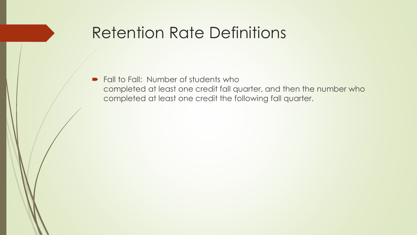# Retention Rate Definitions

• Fall to Fall: Number of students who completed at least one credit fall quarter, and then the number who completed at least one credit the following fall quarter.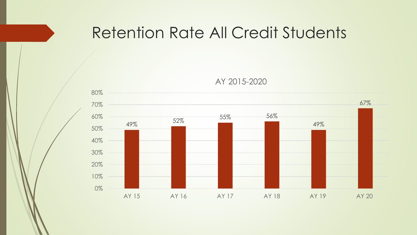# Retention Rate All Credit Students



AY 2015-2020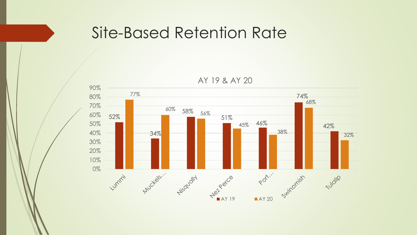### Site-Based Retention Rate

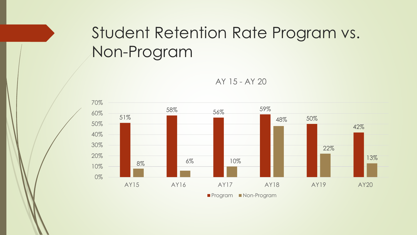# Student Retention Rate Program vs. Non-Program



AY 15 - AY 20

**Program Non-Program**